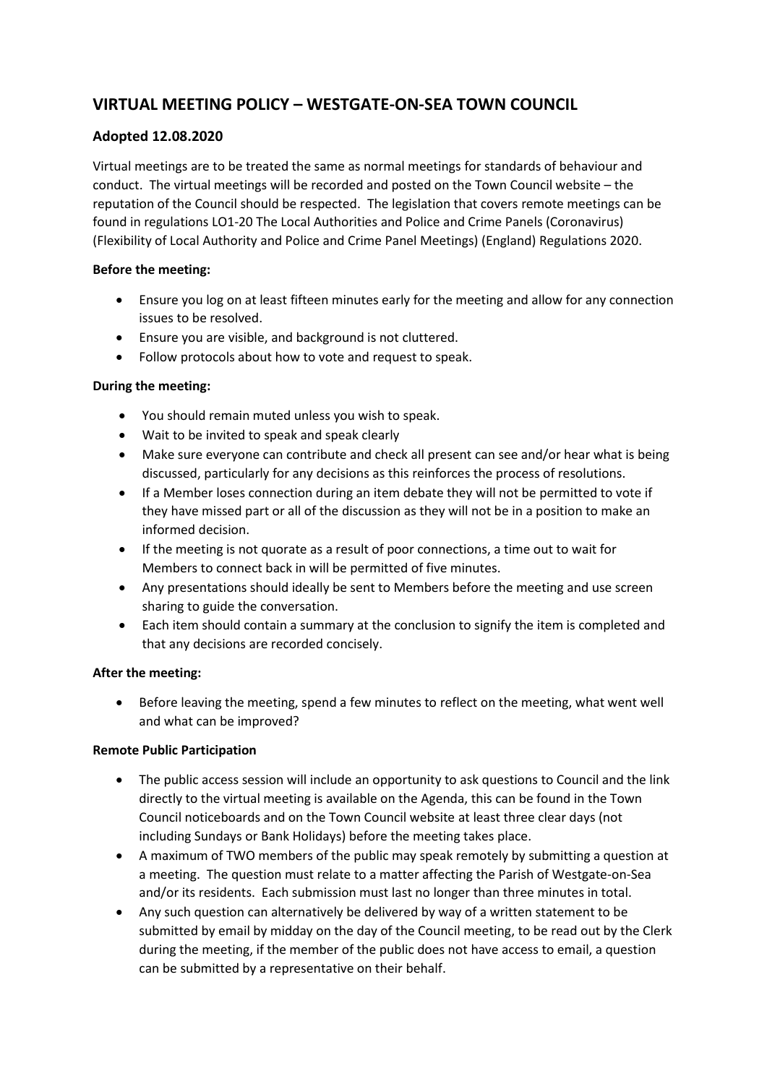# **VIRTUAL MEETING POLICY – WESTGATE-ON-SEA TOWN COUNCIL**

## **Adopted 12.08.2020**

Virtual meetings are to be treated the same as normal meetings for standards of behaviour and conduct. The virtual meetings will be recorded and posted on the Town Council website – the reputation of the Council should be respected. The legislation that covers remote meetings can be found in regulations LO1-20 The Local Authorities and Police and Crime Panels (Coronavirus) (Flexibility of Local Authority and Police and Crime Panel Meetings) (England) Regulations 2020.

#### **Before the meeting:**

- Ensure you log on at least fifteen minutes early for the meeting and allow for any connection issues to be resolved.
- Ensure you are visible, and background is not cluttered.
- Follow protocols about how to vote and request to speak.

## **During the meeting:**

- You should remain muted unless you wish to speak.
- Wait to be invited to speak and speak clearly
- Make sure everyone can contribute and check all present can see and/or hear what is being discussed, particularly for any decisions as this reinforces the process of resolutions.
- If a Member loses connection during an item debate they will not be permitted to vote if they have missed part or all of the discussion as they will not be in a position to make an informed decision.
- If the meeting is not quorate as a result of poor connections, a time out to wait for Members to connect back in will be permitted of five minutes.
- Any presentations should ideally be sent to Members before the meeting and use screen sharing to guide the conversation.
- Each item should contain a summary at the conclusion to signify the item is completed and that any decisions are recorded concisely.

## **After the meeting:**

• Before leaving the meeting, spend a few minutes to reflect on the meeting, what went well and what can be improved?

## **Remote Public Participation**

- The public access session will include an opportunity to ask questions to Council and the link directly to the virtual meeting is available on the Agenda, this can be found in the Town Council noticeboards and on the Town Council website at least three clear days (not including Sundays or Bank Holidays) before the meeting takes place.
- A maximum of TWO members of the public may speak remotely by submitting a question at a meeting. The question must relate to a matter affecting the Parish of Westgate-on-Sea and/or its residents. Each submission must last no longer than three minutes in total.
- Any such question can alternatively be delivered by way of a written statement to be submitted by email by midday on the day of the Council meeting, to be read out by the Clerk during the meeting, if the member of the public does not have access to email, a question can be submitted by a representative on their behalf.